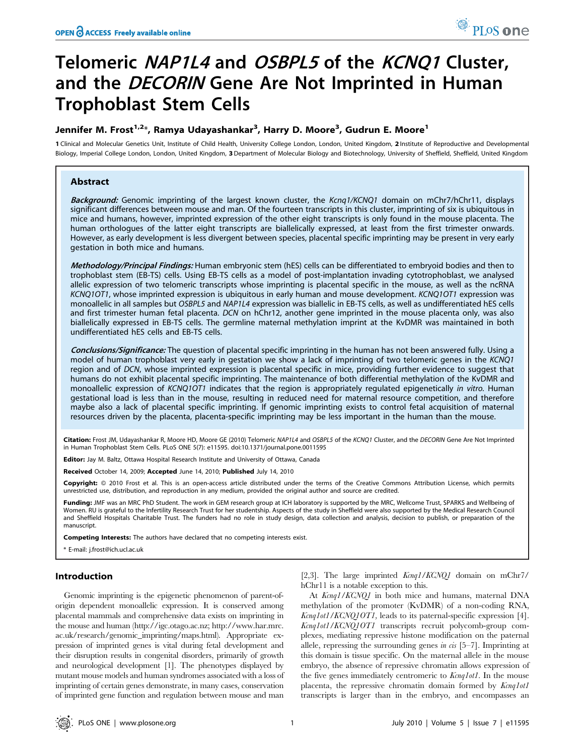# Telomeric NAP1L4 and OSBPL5 of the KCNQ1 Cluster, and the *DECORIN* Gene Are Not Imprinted in Human Trophoblast Stem Cells

## Jennifer M. Frost<sup>1,2</sup>\*, Ramya Udayashankar<sup>3</sup>, Harry D. Moore<sup>3</sup>, Gudrun E. Moore<sup>1</sup>

1 Clinical and Molecular Genetics Unit, Institute of Child Health, University College London, London, United Kingdom, 2 Institute of Reproductive and Developmental Biology, Imperial College London, London, United Kingdom, 3 Department of Molecular Biology and Biotechnology, University of Sheffield, Sheffield, United Kingdom

## Abstract

Background: Genomic imprinting of the largest known cluster, the Kcng1/KCNQ1 domain on mChr7/hChr11, displays significant differences between mouse and man. Of the fourteen transcripts in this cluster, imprinting of six is ubiquitous in mice and humans, however, imprinted expression of the other eight transcripts is only found in the mouse placenta. The human orthologues of the latter eight transcripts are biallelically expressed, at least from the first trimester onwards. However, as early development is less divergent between species, placental specific imprinting may be present in very early gestation in both mice and humans.

Methodology/Principal Findings: Human embryonic stem (hES) cells can be differentiated to embryoid bodies and then to trophoblast stem (EB-TS) cells. Using EB-TS cells as a model of post-implantation invading cytotrophoblast, we analysed allelic expression of two telomeric transcripts whose imprinting is placental specific in the mouse, as well as the ncRNA KCNQ1OT1, whose imprinted expression is ubiquitous in early human and mouse development. KCNQ1OT1 expression was monoallelic in all samples but OSBPL5 and NAP1L4 expression was biallelic in EB-TS cells, as well as undifferentiated hES cells and first trimester human fetal placenta. DCN on hChr12, another gene imprinted in the mouse placenta only, was also biallelically expressed in EB-TS cells. The germline maternal methylation imprint at the KvDMR was maintained in both undifferentiated hES cells and EB-TS cells.

Conclusions/Significance: The question of placental specific imprinting in the human has not been answered fully. Using a model of human trophoblast very early in gestation we show a lack of imprinting of two telomeric genes in the KCNQ1 region and of DCN, whose imprinted expression is placental specific in mice, providing further evidence to suggest that humans do not exhibit placental specific imprinting. The maintenance of both differential methylation of the KvDMR and monoallelic expression of KCNQ1OT1 indicates that the region is appropriately regulated epigenetically in vitro. Human gestational load is less than in the mouse, resulting in reduced need for maternal resource competition, and therefore maybe also a lack of placental specific imprinting. If genomic imprinting exists to control fetal acquisition of maternal resources driven by the placenta, placenta-specific imprinting may be less important in the human than the mouse.

Citation: Frost JM, Udayashankar R, Moore HD, Moore GE (2010) Telomeric NAP1L4 and OSBPL5 of the KCNQ1 Cluster, and the DECORIN Gene Are Not Imprinted in Human Trophoblast Stem Cells. PLoS ONE 5(7): e11595. doi:10.1371/journal.pone.0011595

Editor: Jay M. Baltz, Ottawa Hospital Research Institute and University of Ottawa, Canada

Received October 14, 2009; Accepted June 14, 2010; Published July 14, 2010

Copyright: © 2010 Frost et al. This is an open-access article distributed under the terms of the Creative Commons Attribution License, which permits unrestricted use, distribution, and reproduction in any medium, provided the original author and source are credited.

Funding: JMF was an MRC PhD Student. The work in GEM research group at ICH laboratory is supported by the MRC, Wellcome Trust, SPARKS and Wellbeing of Women. RU is grateful to the Infertility Research Trust for her studentship. Aspects of the study in Sheffield were also supported by the Medical Research Council and Sheffield Hospitals Charitable Trust. The funders had no role in study design, data collection and analysis, decision to publish, or preparation of the manuscript.

Competing Interests: The authors have declared that no competing interests exist.

\* E-mail: j.frost@ich.ucl.ac.uk

## Introduction

Genomic imprinting is the epigenetic phenomenon of parent-oforigin dependent monoallelic expression. It is conserved among placental mammals and comprehensive data exists on imprinting in the mouse and human (http://igc.otago.ac.nz; http://www.har.mrc. ac.uk/research/genomic\_imprinting/maps.html). Appropriate expression of imprinted genes is vital during fetal development and their disruption results in congenital disorders, primarily of growth and neurological development [1]. The phenotypes displayed by mutant mouse models and human syndromes associated with a loss of imprinting of certain genes demonstrate, in many cases, conservation of imprinted gene function and regulation between mouse and man

[2,3]. The large imprinted  $Kcnq1/KCNQ1$  domain on mChr7/ hChr11 is a notable exception to this.

At Kcnq1/KCNQ1 in both mice and humans, maternal DNA methylation of the promoter (KvDMR) of a non-coding RNA, Kcnq1ot1/KCNQ1OT1, leads to its paternal-specific expression [4]. Kcnq1ot1/KCNQ1OT1 transcripts recruit polycomb-group complexes, mediating repressive histone modification on the paternal allele, repressing the surrounding genes in  $\alpha$  [5–7]. Imprinting at this domain is tissue specific. On the maternal allele in the mouse embryo, the absence of repressive chromatin allows expression of the five genes immediately centromeric to *Kcnq1ot1*. In the mouse placenta, the repressive chromatin domain formed by Kcnq1ot1 transcripts is larger than in the embryo, and encompasses an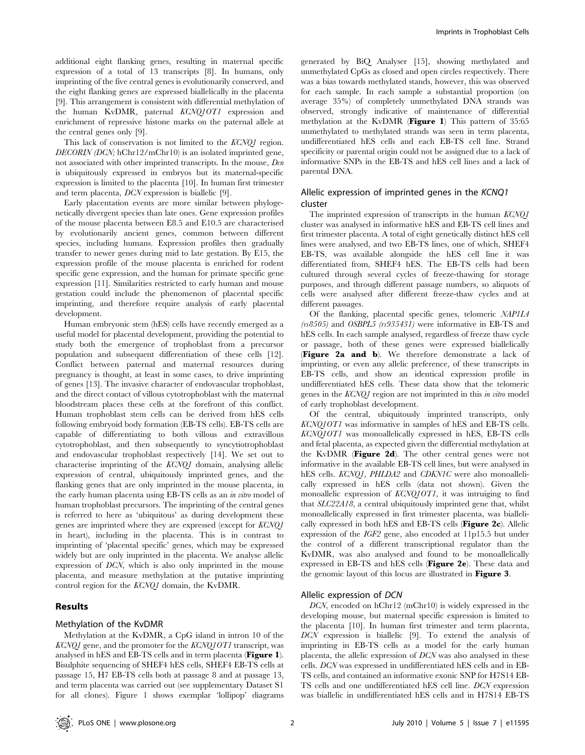additional eight flanking genes, resulting in maternal specific expression of a total of 13 transcripts [8]. In humans, only imprinting of the five central genes is evolutionarily conserved, and the eight flanking genes are expressed biallelically in the placenta [9]. This arrangement is consistent with differential methylation of the human KvDMR, paternal KCNQ1OT1 expression and enrichment of repressive histone marks on the paternal allele at the central genes only [9].

This lack of conservation is not limited to the KCNQ1 region. DECORIN (DCN; hChr12/mChr10) is an isolated imprinted gene, not associated with other imprinted transcripts. In the mouse, Dcn is ubiquitously expressed in embryos but its maternal-specific expression is limited to the placenta [10]. In human first trimester and term placenta, DCN expression is biallelic [9].

Early placentation events are more similar between phylogenetically divergent species than late ones. Gene expression profiles of the mouse placenta between E8.5 and E10.5 are characterised by evolutionarily ancient genes, common between different species, including humans. Expression profiles then gradually transfer to newer genes during mid to late gestation. By E15, the expression profile of the mouse placenta is enriched for rodent specific gene expression, and the human for primate specific gene expression [11]. Similarities restricted to early human and mouse gestation could include the phenomenon of placental specific imprinting, and therefore require analysis of early placental development.

Human embryonic stem (hES) cells have recently emerged as a useful model for placental development, providing the potential to study both the emergence of trophoblast from a precursor population and subsequent differentiation of these cells [12]. Conflict between paternal and maternal resources during pregnancy is thought, at least in some cases, to drive imprinting of genes [13]. The invasive character of endovascular trophoblast, and the direct contact of villous cytotrophoblast with the maternal bloodstream places these cells at the forefront of this conflict. Human trophoblast stem cells can be derived from hES cells following embryoid body formation (EB-TS cells). EB-TS cells are capable of differentiating to both villous and extravillous cytotrophoblast, and then subsequently to syncytiotrophoblast and endovascular trophoblast respectively [14]. We set out to characterise imprinting of the KCNQ1 domain, analysing allelic expression of central, ubiquitously imprinted genes, and the flanking genes that are only imprinted in the mouse placenta, in the early human placenta using EB-TS cells as an in vitro model of human trophoblast precursors. The imprinting of the central genes is referred to here as 'ubiquitous' as during development these genes are imprinted where they are expressed (except for KCNQ1 in heart), including in the placenta. This is in contrast to imprinting of 'placental specific' genes, which may be expressed widely but are only imprinted in the placenta. We analyse allelic expression of DCN, which is also only imprinted in the mouse placenta, and measure methylation at the putative imprinting control region for the KCNQ1 domain, the KvDMR.

#### Results

## Methylation of the KvDMR

Methylation at the KvDMR, a CpG island in intron 10 of the  $KCNQI$  gene, and the promoter for the  $KCNQIOTI$  transcript, was analysed in hES and EB-TS cells and in term placenta (Figure 1). Bisulphite sequencing of SHEF4 hES cells, SHEF4 EB-TS cells at passage 15, H7 EB-TS cells both at passage 8 and at passage 13, and term placenta was carried out (see supplementary Dataset S1 for all clones). Figure 1 shows exemplar 'lollipop' diagrams

generated by BiQ Analyser [15], showing methylated and unmethylated CpGs as closed and open circles respectively. There was a bias towards methylated stands, however, this was observed for each sample. In each sample a substantial proportion (on average 35%) of completely unmethylated DNA strands was observed, strongly indicative of maintenance of differential methylation at the KvDMR (Figure 1) This pattern of 35:65 unmethylated to methylated strands was seen in term placenta, undifferentiated hES cells and each EB-TS cell line. Strand specificity or parental origin could not be assigned due to a lack of informative SNPs in the EB-TS and hES cell lines and a lack of parental DNA.

## Allelic expression of imprinted genes in the KCNQ1 cluster

The imprinted expression of transcripts in the human KCNQ1 cluster was analysed in informative hES and EB-TS cell lines and first trimester placenta. A total of eight genetically distinct hES cell lines were analysed, and two EB-TS lines, one of which, SHEF4 EB-TS, was available alongside the hES cell line it was differentiated from, SHEF4 hES. The EB-TS cells had been cultured through several cycles of freeze-thawing for storage purposes, and through different passage numbers, so aliquots of cells were analysed after different freeze-thaw cycles and at different passages.

Of the flanking, placental specific genes, telomeric NAP1L4 (rs8505) and OSBPL5 (rs935431) were informative in EB-TS and hES cells. In each sample analysed, regardless of freeze thaw cycle or passage, both of these genes were expressed biallelically (Figure 2a and b). We therefore demonstrate a lack of imprinting, or even any allelic preference, of these transcripts in EB-TS cells, and show an identical expression profile in undifferentiated hES cells. These data show that the telomeric genes in the KCNQ1 region are not imprinted in this in vitro model of early trophoblast development.

Of the central, ubiquitously imprinted transcripts, only KCNQ1OT1 was informative in samples of hES and EB-TS cells. KCNQ1OT1 was monoallelically expressed in hES, EB-TS cells and fetal placenta, as expected given the differential methylation at the KvDMR (Figure 2d). The other central genes were not informative in the available EB-TS cell lines, but were analysed in hES cells. KCNQ1, PHLDA2 and CDKN1C were also monoallelically expressed in hES cells (data not shown). Given the monoallelic expression of KCNQ1OT1, it was intruiging to find that SLC22A18, a central ubiquitously imprinted gene that, whilst monoallelically expressed in first trimester placenta, was biallelically expressed in both hES and EB-TS cells (Figure 2c). Allelic expression of the IGF2 gene, also encoded at 11p15.5 but under the control of a different transcriptional regulator than the KvDMR, was also analysed and found to be monoallelically expressed in EB-TS and hES cells (Figure 2e). These data and the genomic layout of this locus are illustrated in Figure 3.

#### Allelic expression of DCN

DCN, encoded on hChr12 (mChr10) is widely expressed in the developing mouse, but maternal specific expression is limited to the placenta [10]. In human first trimester and term placenta, DCN expression is biallelic [9]. To extend the analysis of imprinting in EB-TS cells as a model for the early human placenta, the allelic expression of DCN was also analysed in these cells. DCN was expressed in undifferentiated hES cells and in EB-TS cells, and contained an informative exonic SNP for H7S14 EB-TS cells and one undifferentiated hES cell line. DCN expression was biallelic in undifferentiated hES cells and in H7S14 EB-TS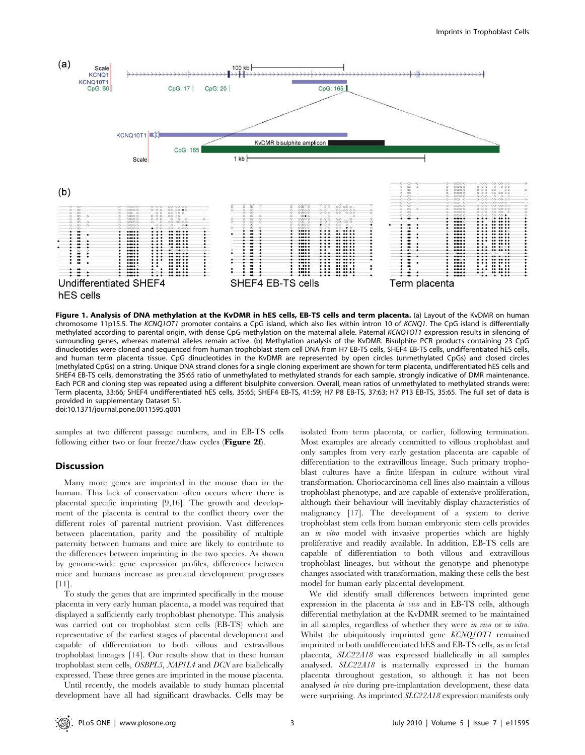

Figure 1. Analysis of DNA methylation at the KvDMR in hES cells, EB-TS cells and term placenta. (a) Layout of the KvDMR on human chromosome 11p15.5. The KCNQ1OT1 promoter contains a CpG island, which also lies within intron 10 of KCNQ1. The CpG island is differentially methylated according to parental origin, with dense CpG methylation on the maternal allele. Paternal KCNQ1OT1 expression results in silencing of surrounding genes, whereas maternal alleles remain active. (b) Methylation analysis of the KvDMR. Bisulphite PCR products containing 23 CpG dinucleotides were cloned and sequenced from human trophoblast stem cell DNA from H7 EB-TS cells, SHEF4 EB-TS cells, undifferentiated hES cells, and human term placenta tissue. CpG dinucleotides in the KvDMR are represented by open circles (unmethylated CpGs) and closed circles (methylated CpGs) on a string. Unique DNA strand clones for a single cloning experiment are shown for term placenta, undifferentiated hES cells and SHEF4 EB-TS cells, demonstrating the 35:65 ratio of unmethylated to methylated strands for each sample, strongly indicative of DMR maintenance. Each PCR and cloning step was repeated using a different bisulphite conversion. Overall, mean ratios of unmethylated to methylated strands were: Term placenta, 33:66; SHEF4 undifferentiated hES cells, 35:65; SHEF4 EB-TS, 41:59; H7 P8 EB-TS, 37:63; H7 P13 EB-TS, 35:65. The full set of data is provided in supplementary Dataset S1.

doi:10.1371/journal.pone.0011595.g001

samples at two different passage numbers, and in EB-TS cells following either two or four freeze/thaw cycles (Figure 2f).

## Discussion

Many more genes are imprinted in the mouse than in the human. This lack of conservation often occurs where there is placental specific imprinting [9,16]. The growth and development of the placenta is central to the conflict theory over the different roles of parental nutrient provision. Vast differences between placentation, parity and the possibility of multiple paternity between humans and mice are likely to contribute to the differences between imprinting in the two species. As shown by genome-wide gene expression profiles, differences between mice and humans increase as prenatal development progresses [11].

To study the genes that are imprinted specifically in the mouse placenta in very early human placenta, a model was required that displayed a sufficiently early trophoblast phenotype. This analysis was carried out on trophoblast stem cells (EB-TS) which are representative of the earliest stages of placental development and capable of differentiation to both villous and extravillous trophoblast lineages [14]. Our results show that in these human trophoblast stem cells, OSBPL5, NAP1L4 and DCN are biallelically expressed. These three genes are imprinted in the mouse placenta.

Until recently, the models available to study human placental development have all had significant drawbacks. Cells may be

isolated from term placenta, or earlier, following termination. Most examples are already committed to villous trophoblast and only samples from very early gestation placenta are capable of differentiation to the extravillous lineage. Such primary trophoblast cultures have a finite lifespan in culture without viral transformation. Choriocarcinoma cell lines also maintain a villous trophoblast phenotype, and are capable of extensive proliferation, although their behaviour will inevitably display characteristics of malignancy [17]. The development of a system to derive trophoblast stem cells from human embryonic stem cells provides an *in vitro* model with invasive properties which are highly proliferative and readily available. In addition, EB-TS cells are capable of differentiation to both villous and extravillous trophoblast lineages, but without the genotype and phenotype changes associated with transformation, making these cells the best model for human early placental development.

We did identify small differences between imprinted gene expression in the placenta in vivo and in EB-TS cells, although differential methylation at the KvDMR seemed to be maintained in all samples, regardless of whether they were in vivo or in vitro. Whilst the ubiquitously imprinted gene KCNQ10T1 remained imprinted in both undifferentiated hES and EB-TS cells, as in fetal placenta, SLC22A18 was expressed biallelically in all samples analysed. SLC22A18 is maternally expressed in the human placenta throughout gestation, so although it has not been analysed in vivo during pre-implantation development, these data were surprising. As imprinted SLC22A18 expression manifests only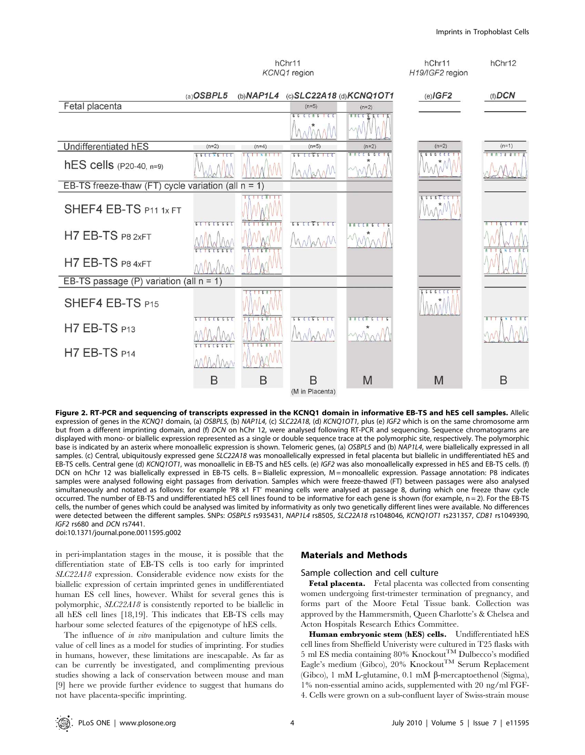#### Imprints in Trophoblast Cells



Figure 2. RT-PCR and sequencing of transcripts expressed in the KCNQ1 domain in informative EB-TS and hES cell samples. Allelic expression of genes in the KCNQ1 domain, (a) OSBPL5, (b) NAP1L4, (c) SLC22A18, (d) KCNQ1OT1, plus (e) IGF2 which is on the same chromosome arm but from a different imprinting domain, and (f) DCN on hChr 12, were analysed following RT-PCR and sequencing. Sequence chromatograms are displayed with mono- or biallelic expression represented as a single or double sequence trace at the polymorphic site, respectively. The polymorphic base is indicated by an asterix where monoallelic expression is shown. Telomeric genes, (a) OSBPL5 and (b) NAP1L4, were biallelically expressed in all samples. (c) Central, ubiquitously expressed gene SLC22A18 was monoallelically expressed in fetal placenta but biallelic in undifferentiated hES and EB-TS cells. Central gene (d) KCNQ1OT1, was monoallelic in EB-TS and hES cells. (e) IGF2 was also monoallelically expressed in hES and EB-TS cells. (f) DCN on hChr 12 was biallelically expressed in EB-TS cells. B = Biallelic expression, M = monoallelic expression. Passage annotation: P8 indicates samples were analysed following eight passages from derivation. Samples which were freeze-thawed (FT) between passages were also analysed simultaneously and notated as follows: for example 'P8 x1 FT' meaning cells were analysed at passage 8, during which one freeze thaw cycle occurred. The number of EB-TS and undifferentiated hES cell lines found to be informative for each gene is shown (for example, n = 2). For the EB-TS cells, the number of genes which could be analysed was limited by informativity as only two genetically different lines were available. No differences were detected between the different samples. SNPs: OSBPL5 rs935431, NAP1L4 rs8505, SLC22A18 rs1048046, KCNQ1OT1 rs231357, CD81 rs1049390, IGF2 rs680 and DCN rs7441.

doi:10.1371/journal.pone.0011595.g002

in peri-implantation stages in the mouse, it is possible that the differentiation state of EB-TS cells is too early for imprinted SLC22A18 expression. Considerable evidence now exists for the biallelic expression of certain imprinted genes in undifferentiated human ES cell lines, however. Whilst for several genes this is polymorphic, SLC22A18 is consistently reported to be biallelic in all hES cell lines [18,19]. This indicates that EB-TS cells may harbour some selected features of the epigenotype of hES cells.

The influence of in vitro manipulation and culture limits the value of cell lines as a model for studies of imprinting. For studies in humans, however, these limitations are inescapable. As far as can be currently be investigated, and complimenting previous studies showing a lack of conservation between mouse and man [9] here we provide further evidence to suggest that humans do not have placenta-specific imprinting.

## Materials and Methods

#### Sample collection and cell culture

Fetal placenta. Fetal placenta was collected from consenting women undergoing first-trimester termination of pregnancy, and forms part of the Moore Fetal Tissue bank. Collection was approved by the Hammersmith, Queen Charlotte's & Chelsea and Acton Hospitals Research Ethics Committee.

Human embryonic stem (hES) cells. Undifferentiated hES cell lines from Sheffield Univeristy were cultured in T25 flasks with 5 ml ES media containing 80% Knockout TM Dulbecco's modified Eagle's medium (Gibco), 20% Knockout<sup>TM</sup> Serum Replacement (Gibco), 1 mM L-glutamine, 0.1 mM  $\beta$ -mercaptoethenol (Sigma), 1% non-essential amino acids, supplemented with 20 ng/ml FGF-4. Cells were grown on a sub-confluent layer of Swiss-strain mouse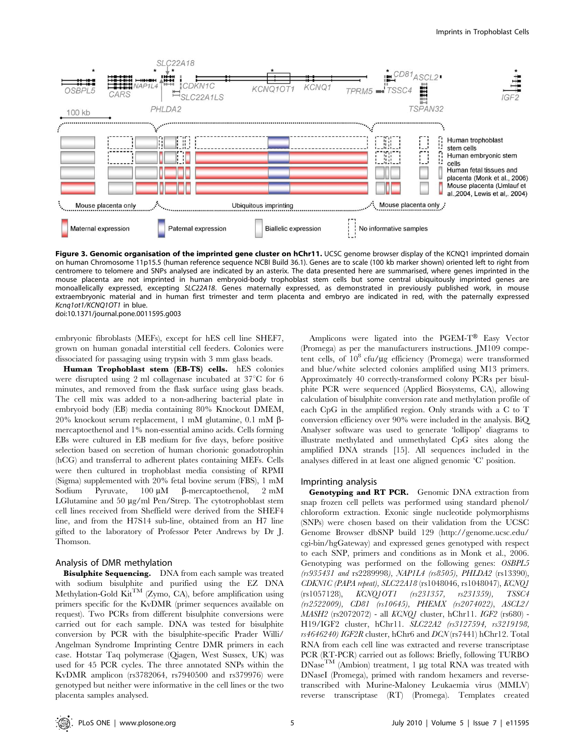

Figure 3. Genomic organisation of the imprinted gene cluster on hChr11. UCSC genome browser display of the KCNQ1 imprinted domain on human Chromosome 11p15.5 (human reference sequence NCBI Build 36.1). Genes are to scale (100 kb marker shown) oriented left to right from centromere to telomere and SNPs analysed are indicated by an asterix. The data presented here are summarised, where genes imprinted in the mouse placenta are not imprinted in human embryoid-body trophoblast stem cells but some central ubiquitously imprinted genes are monoallelically expressed, excepting SLC22A18. Genes maternally expressed, as demonstrated in previously published work, in mouse extraembryonic material and in human first trimester and term placenta and embryo are indicated in red, with the paternally expressed Kcnq1ot1/KCNQ1OT1 in blue. doi:10.1371/journal.pone.0011595.g003

embryonic fibroblasts (MEFs), except for hES cell line SHEF7, grown on human gonadal interstitial cell feeders. Colonies were dissociated for passaging using trypsin with 3 mm glass beads.

Human Trophoblast stem (EB-TS) cells. hES colonies were disrupted using 2 ml collagenase incubated at  $37^{\circ}$ C for 6 minutes, and removed from the flask surface using glass beads. The cell mix was added to a non-adhering bacterial plate in embryoid body (EB) media containing 80% Knockout DMEM, 20% knockout serum replacement, 1 mM glutamine, 0.1 mM βmercaptoethenol and 1% non-essential amino acids. Cells forming EBs were cultured in EB medium for five days, before positive selection based on secretion of human chorionic gonadotrophin (hCG) and transferral to adherent plates containing MEFs. Cells were then cultured in trophoblast media consisting of RPMI (Sigma) supplemented with 20% fetal bovine serum (FBS), 1 mM Sodium Pyruvate,  $100 \mu M$   $\beta$ -mercaptoethenol,  $2 \mu M$ LGlutamine and 50  $\mu$ g/ml Pen/Strep. The cytotrophoblast stem cell lines received from Sheffield were derived from the SHEF4 line, and from the H7S14 sub-line, obtained from an H7 line gifted to the laboratory of Professor Peter Andrews by Dr J. Thomson.

#### Analysis of DMR methylation

Bisulphite Sequencing. DNA from each sample was treated with sodium bisulphite and purified using the EZ DNA Methylation-Gold  $\text{Kit}^{\text{TM}}$  (Zymo, CA), before amplification using primers specific for the KvDMR (primer sequences available on request). Two PCRs from different bisulphite conversions were carried out for each sample. DNA was tested for bisulphite conversion by PCR with the bisulphite-specific Prader Willi/ Angelman Syndrome Imprinting Centre DMR primers in each case. Hotstar Taq polymerase (Qiagen, West Sussex, UK) was used for 45 PCR cycles. The three annotated SNPs within the KvDMR amplicon (rs3782064, rs7940500 and rs379976) were genotyped but neither were informative in the cell lines or the two placenta samples analysed.

Amplicons were ligated into the PGEM-T® Easy Vector (Promega) as per the manufacturers instructions. JM109 competent cells, of  $10^8$  cfu/µg efficiency (Promega) were transformed and blue/white selected colonies amplified using M13 primers. Approximately 40 correctly-transformed colony PCRs per bisulphite PCR were sequenced (Applied Biosystems, CA), allowing calculation of bisulphite conversion rate and methylation profile of each CpG in the amplified region. Only strands with a C to T conversion efficiency over 90% were included in the analysis. BiQ Analyser software was used to generate 'lollipop' diagrams to illustrate methylated and unmethylated CpG sites along the amplified DNA strands [15]. All sequences included in the analyses differed in at least one aligned genomic 'C' position.

#### Imprinting analysis

Genotyping and RT PCR. Genomic DNA extraction from snap frozen cell pellets was performed using standard phenol/ chloroform extraction. Exonic single nucleotide polymorphisms (SNPs) were chosen based on their validation from the UCSC Genome Browser dbSNP build 129 (http://genome.ucsc.edu/ cgi-bin/hgGateway) and expressed genes genotyped with respect to each SNP, primers and conditions as in Monk et al., 2006. Genotyping was performed on the following genes: OSBPL5 (rs935431 and rs2289998), NAP1L4 (rs8505), PHLDA2 (rs13390), CDKN1C (PAPA repeat), SLC22A18 (rs1048046, rs1048047), KCNQ1 (rs1057128), KCNQ1OT1 (rs231357, rs231359), TSSC4 (rs2522009), CD81 (rs10645), PHEMX (rs2074022), ASCL2/ MASH2 (rs2072072) - all KCNQ1 cluster, hChr11. IGF2 (rs680) - H19/IGF2 cluster, hChr11. SLC22A2 (rs3127594, rs3219198, rs4646240) IGF2R cluster, hChr6 and DCN (rs7441) hChr12. Total RNA from each cell line was extracted and reverse transcriptase PCR (RT-PCR) carried out as follows: Briefly, following TURBO  $DNase<sup>TM</sup>$  (Ambion) treatment, 1 µg total RNA was treated with DNaseI (Promega), primed with random hexamers and reversetranscribed with Murine-Maloney Leukaemia virus (MMLV) reverse transcriptase (RT) (Promega). Templates created